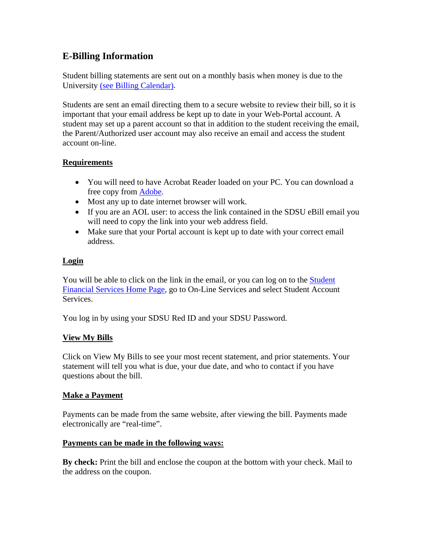# **E-Billing Information**

Student billing statements are sent out on a monthly basis when money is due to the University [\(see Billing Calendar\).](http://bfa.sdsu.edu/fm/co/sfs/bcalendar.html)

Students are sent an email directing them to a secure website to review their bill, so it is important that your email address be kept up to date in your Web-Portal account. A student may set up a parent account so that in addition to the student receiving the email, the Parent/Authorized user account may also receive an email and access the student account on-line.

## **Requirements**

- You will need to have Acrobat Reader loaded on your PC. You can download a free copy from [Adobe](http://www/adobe.com/products/reader/).
- Most any up to date internet browser will work.
- If you are an AOL user: to access the link contained in the SDSU eBill email you will need to copy the link into your web address field.
- Make sure that your Portal account is kept up to date with your correct email address.

## **Login**

You will be able to click on the link in the email, or you can log on to the Student [Financial Services Home Page,](http://www.sdsu.edu/sfs) go to On-Line Services and select Student Account **Services** 

You log in by using your SDSU Red ID and your SDSU Password.

## **View My Bills**

Click on View My Bills to see your most recent statement, and prior statements. Your statement will tell you what is due, your due date, and who to contact if you have questions about the bill.

## **Make a Payment**

Payments can be made from the same website, after viewing the bill. Payments made electronically are "real-time".

## **Payments can be made in the following ways:**

**By check:** Print the bill and enclose the coupon at the bottom with your check. Mail to the address on the coupon.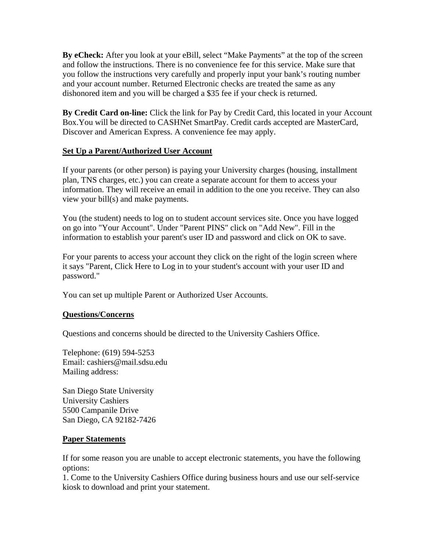**By eCheck:** After you look at your eBill, select "Make Payments" at the top of the screen and follow the instructions. There is no convenience fee for this service. Make sure that you follow the instructions very carefully and properly input your bank's routing number and your account number. Returned Electronic checks are treated the same as any dishonored item and you will be charged a \$35 fee if your check is returned.

**By Credit Card on-line:** Click the link for Pay by Credit Card, this located in your Account Box.You will be directed to CASHNet SmartPay. Credit cards accepted are MasterCard, Discover and American Express. A convenience fee may apply.

#### **Set Up a Parent/Authorized User Account**

If your parents (or other person) is paying your University charges (housing, installment plan, TNS charges, etc.) you can create a separate account for them to access your information. They will receive an email in addition to the one you receive. They can also view your bill(s) and make payments.

You (the student) needs to log on to student account services site. Once you have logged on go into "Your Account". Under "Parent PINS" click on "Add New". Fill in the information to establish your parent's user ID and password and click on OK to save.

For your parents to access your account they click on the right of the login screen where it says "Parent, Click Here to Log in to your student's account with your user ID and password."

You can set up multiple Parent or Authorized User Accounts.

#### **Questions/Concerns**

Questions and concerns should be directed to the University Cashiers Office.

Telephone: (619) 594-5253 Email: cashiers@mail.sdsu.edu Mailing address:

San Diego State University University Cashiers 5500 Campanile Drive San Diego, CA 92182-7426

#### **Paper Statements**

If for some reason you are unable to accept electronic statements, you have the following options:

1. Come to the University Cashiers Office during business hours and use our self-service kiosk to download and print your statement.